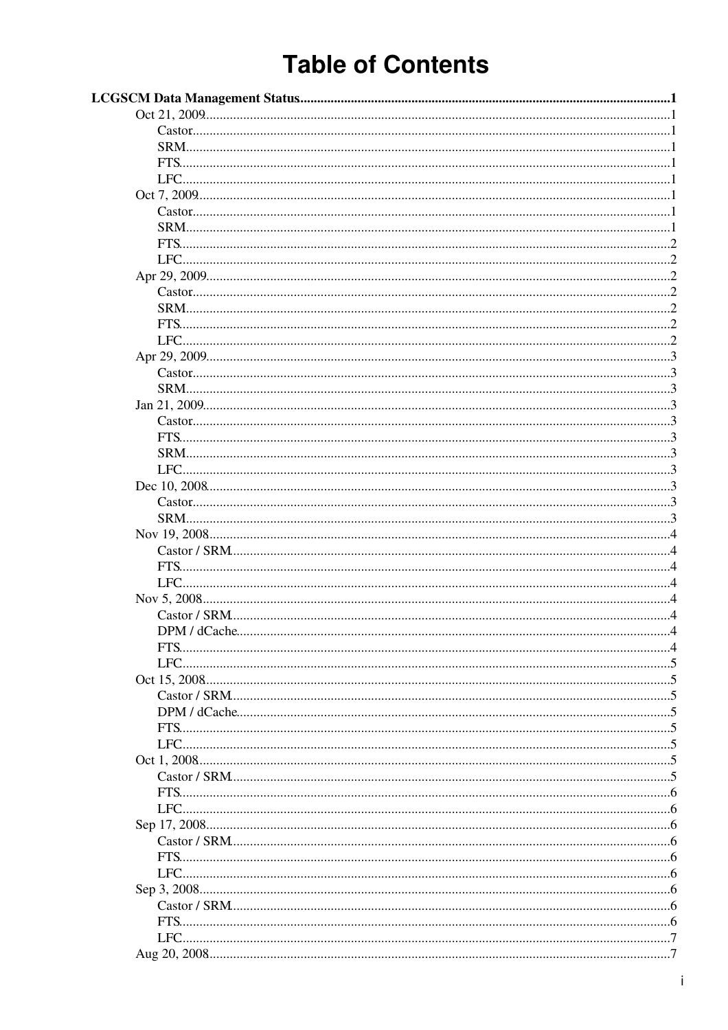# **Table of Contents**

| DPM / dCache |
|--------------|
|              |
|              |
|              |
|              |
|              |
|              |
|              |
|              |
|              |
|              |
|              |
|              |
|              |
|              |
|              |
|              |
|              |
|              |
|              |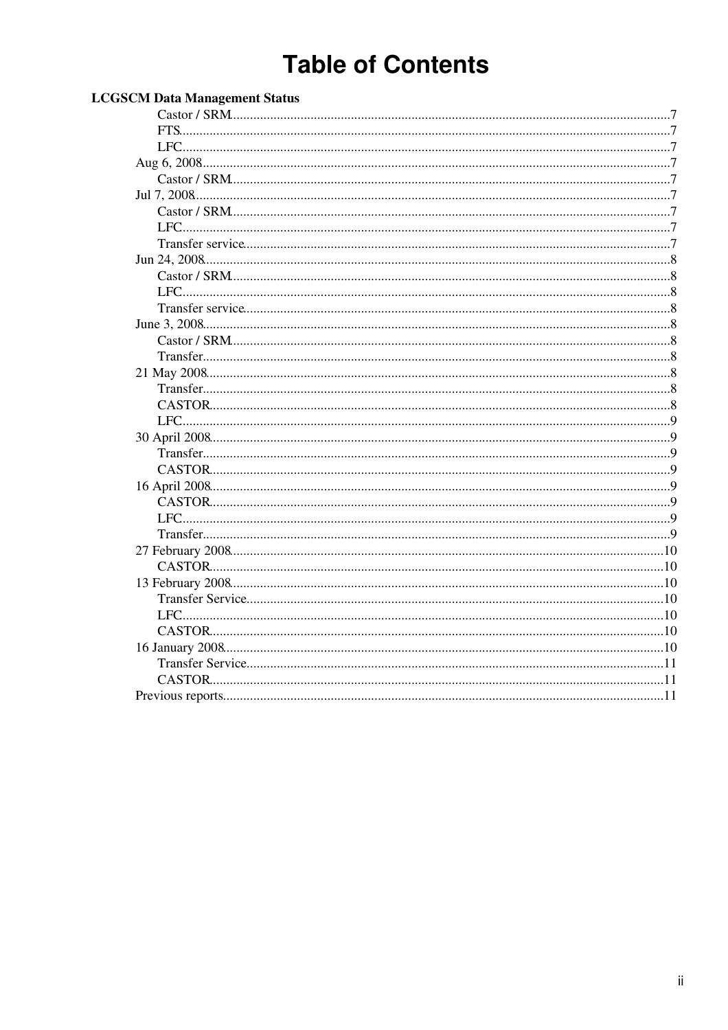# **Table of Contents**

| <b>LCGSCM Data Management Status</b> |    |
|--------------------------------------|----|
|                                      |    |
|                                      |    |
|                                      |    |
|                                      |    |
|                                      |    |
|                                      |    |
|                                      |    |
|                                      |    |
|                                      |    |
|                                      |    |
|                                      |    |
|                                      |    |
|                                      |    |
|                                      |    |
|                                      |    |
|                                      |    |
|                                      |    |
|                                      |    |
|                                      |    |
|                                      |    |
|                                      |    |
|                                      |    |
|                                      |    |
|                                      |    |
|                                      |    |
|                                      |    |
|                                      |    |
|                                      |    |
|                                      |    |
|                                      | 10 |
|                                      | 10 |
|                                      |    |
|                                      |    |
|                                      |    |
|                                      |    |
|                                      |    |
|                                      |    |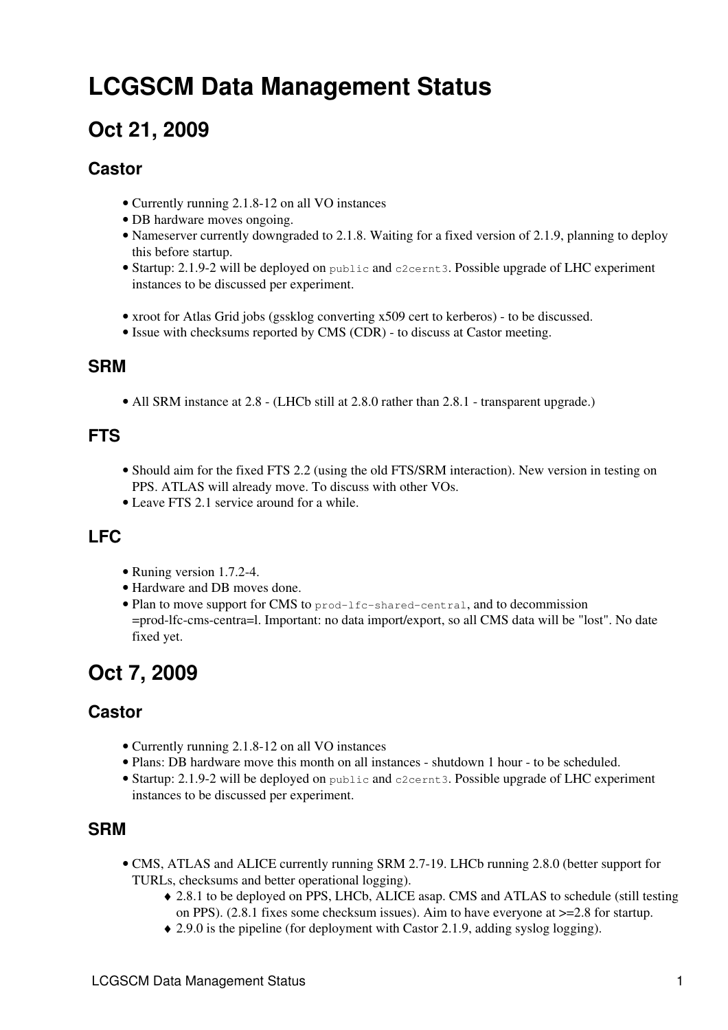# <span id="page-2-0"></span>**LCGSCM Data Management Status**

# <span id="page-2-1"></span>**Oct 21, 2009**

#### **Castor**

- Currently running 2.1.8-12 on all VO instances
- DB hardware moves ongoing.
- Nameserver currently downgraded to 2.1.8. Waiting for a fixed version of 2.1.9, planning to deploy this before startup.
- Startup: 2.1.9-2 will be deployed on public and c2cernt3. Possible upgrade of LHC experiment instances to be discussed per experiment.
- xroot for Atlas Grid jobs (gssklog converting x509 cert to kerberos) to be discussed.
- Issue with checksums reported by CMS (CDR) to discuss at Castor meeting.

#### <span id="page-2-2"></span>**SRM**

• All SRM instance at 2.8 - (LHCb still at 2.8.0 rather than 2.8.1 - transparent upgrade.)

#### <span id="page-2-3"></span>**FTS**

- Should aim for the fixed FTS 2.2 (using the old FTS/SRM interaction). New version in testing on PPS. ATLAS will already move. To discuss with other VOs.
- Leave FTS 2.1 service around for a while.

#### <span id="page-2-4"></span>**LFC**

- Runing version 1.7.2-4.
- Hardware and DB moves done.
- Plan to move support for CMS to prod-lfc-shared-central, and to decommission =prod-lfc-cms-centra=l. Important: no data import/export, so all CMS data will be "lost". No date fixed yet.

# <span id="page-2-5"></span>**Oct 7, 2009**

#### **Castor**

- Currently running 2.1.8-12 on all VO instances
- Plans: DB hardware move this month on all instances shutdown 1 hour to be scheduled.
- Startup: 2.1.9-2 will be deployed on public and c2cernt3. Possible upgrade of LHC experiment instances to be discussed per experiment.

#### <span id="page-2-6"></span>**SRM**

- CMS, ATLAS and ALICE currently running SRM 2.7-19. LHCb running 2.8.0 (better support for TURLs, checksums and better operational logging).
	- 2.8.1 to be deployed on PPS, LHCb, ALICE asap. CMS and ATLAS to schedule (still testing ♦ on PPS). (2.8.1 fixes some checksum issues). Aim to have everyone at  $\geq$ =2.8 for startup.
	- ♦ 2.9.0 is the pipeline (for deployment with Castor 2.1.9, adding syslog logging).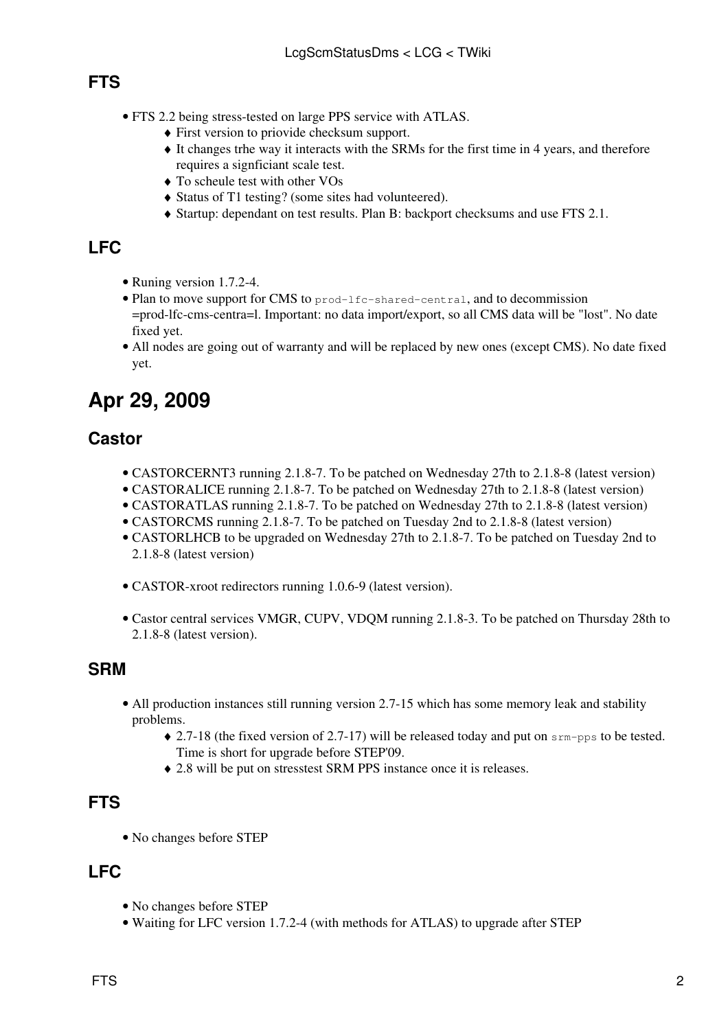### <span id="page-3-0"></span>**FTS**

- FTS 2.2 being stress-tested on large PPS service with ATLAS.
	- ♦ First version to priovide checksum support.
	- It changes trhe way it interacts with the SRMs for the first time in 4 years, and therefore ♦ requires a signficiant scale test.
	- ♦ To scheule test with other VOs
	- ♦ Status of T1 testing? (some sites had volunteered).
	- ♦ Startup: dependant on test results. Plan B: backport checksums and use FTS 2.1.

### <span id="page-3-1"></span>**LFC**

- Runing version 1.7.2-4.
- Plan to move support for CMS to prod-lfc-shared-central, and to decommission =prod-lfc-cms-centra=l. Important: no data import/export, so all CMS data will be "lost". No date fixed yet.
- All nodes are going out of warranty and will be replaced by new ones (except CMS). No date fixed yet.

# <span id="page-3-2"></span>**Apr 29, 2009**

#### **Castor**

- CASTORCERNT3 running 2.1.8-7. To be patched on Wednesday 27th to 2.1.8-8 (latest version)
- CASTORALICE running 2.1.8-7. To be patched on Wednesday 27th to 2.1.8-8 (latest version)
- CASTORATLAS running 2.1.8-7. To be patched on Wednesday 27th to 2.1.8-8 (latest version)
- CASTORCMS running 2.1.8-7. To be patched on Tuesday 2nd to 2.1.8-8 (latest version)
- CASTORLHCB to be upgraded on Wednesday 27th to 2.1.8-7. To be patched on Tuesday 2nd to 2.1.8-8 (latest version)
- CASTOR-xroot redirectors running 1.0.6-9 (latest version).
- Castor central services VMGR, CUPV, VDQM running 2.1.8-3. To be patched on Thursday 28th to 2.1.8-8 (latest version).

#### <span id="page-3-3"></span>**SRM**

- All production instances still running version 2.7-15 which has some memory leak and stability problems.
	- ◆ 2.7-18 (the fixed version of 2.7-17) will be released today and put on srm-pps to be tested. Time is short for upgrade before STEP'09.
	- ♦ 2.8 will be put on stresstest SRM PPS instance once it is releases.

#### <span id="page-3-4"></span>**FTS**

• No changes before STEP

## <span id="page-3-5"></span>**LFC**

- No changes before STEP
- Waiting for LFC version 1.7.2-4 (with methods for ATLAS) to upgrade after STEP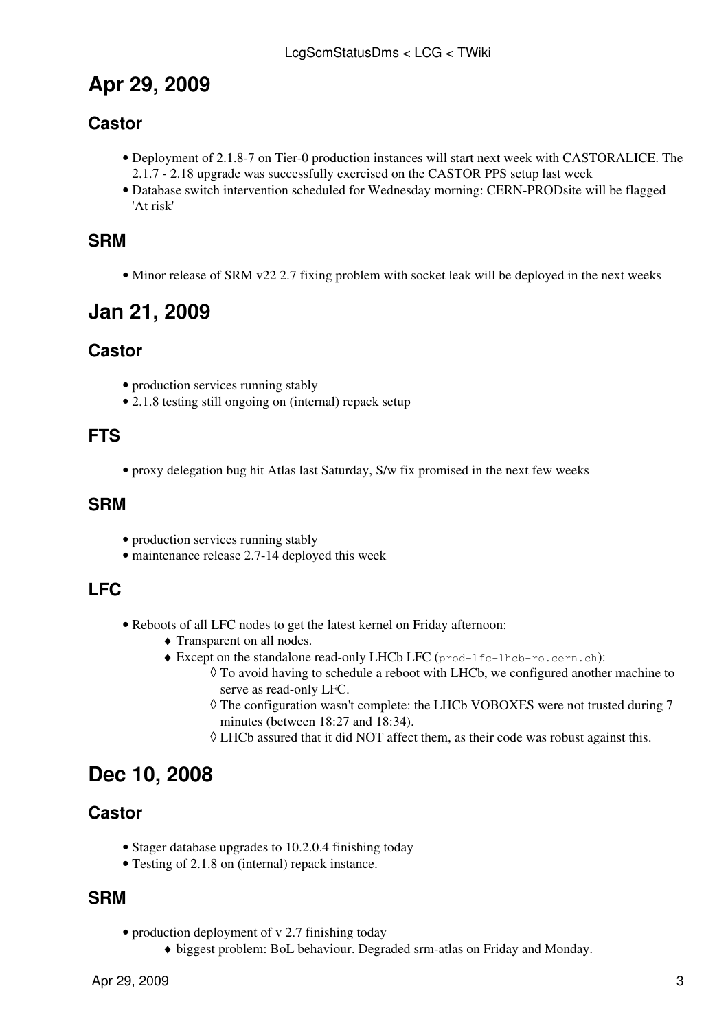# <span id="page-4-0"></span>**Apr 29, 2009**

## **Castor**

- Deployment of 2.1.8-7 on Tier-0 production instances will start next week with CASTORALICE. The 2.1.7 - 2.18 upgrade was successfully exercised on the CASTOR PPS setup last week
- Database switch intervention scheduled for Wednesday morning: CERN-PRODsite will be flagged 'At risk'

#### <span id="page-4-1"></span>**SRM**

• Minor release of SRM v22 2.7 fixing problem with socket leak will be deployed in the next weeks

# <span id="page-4-2"></span>**Jan 21, 2009**

#### **Castor**

- production services running stably
- 2.1.8 testing still ongoing on (internal) repack setup

#### <span id="page-4-3"></span>**FTS**

• proxy delegation bug hit Atlas last Saturday, S/w fix promised in the next few weeks

#### <span id="page-4-4"></span>**SRM**

- production services running stably
- maintenance release 2.7-14 deployed this week

#### <span id="page-4-5"></span>**LFC**

- Reboots of all LFC nodes to get the latest kernel on Friday afternoon:
	- ♦ Transparent on all nodes.
	- Except on the standalone read-only LHCb LFC (prod-lfc-lhcb-ro.cern.ch): ♦
		- To avoid having to schedule a reboot with LHCb, we configured another machine to ◊ serve as read-only LFC.
		- The configuration wasn't complete: the LHCb VOBOXES were not trusted during 7 ◊ minutes (between 18:27 and 18:34).
		- $\Diamond$  LHCb assured that it did NOT affect them, as their code was robust against this.

# <span id="page-4-6"></span>**Dec 10, 2008**

#### **Castor**

- Stager database upgrades to 10.2.0.4 finishing today
- Testing of 2.1.8 on (internal) repack instance.

#### <span id="page-4-7"></span>**SRM**

- production deployment of v 2.7 finishing today
	- ♦ biggest problem: BoL behaviour. Degraded srm-atlas on Friday and Monday.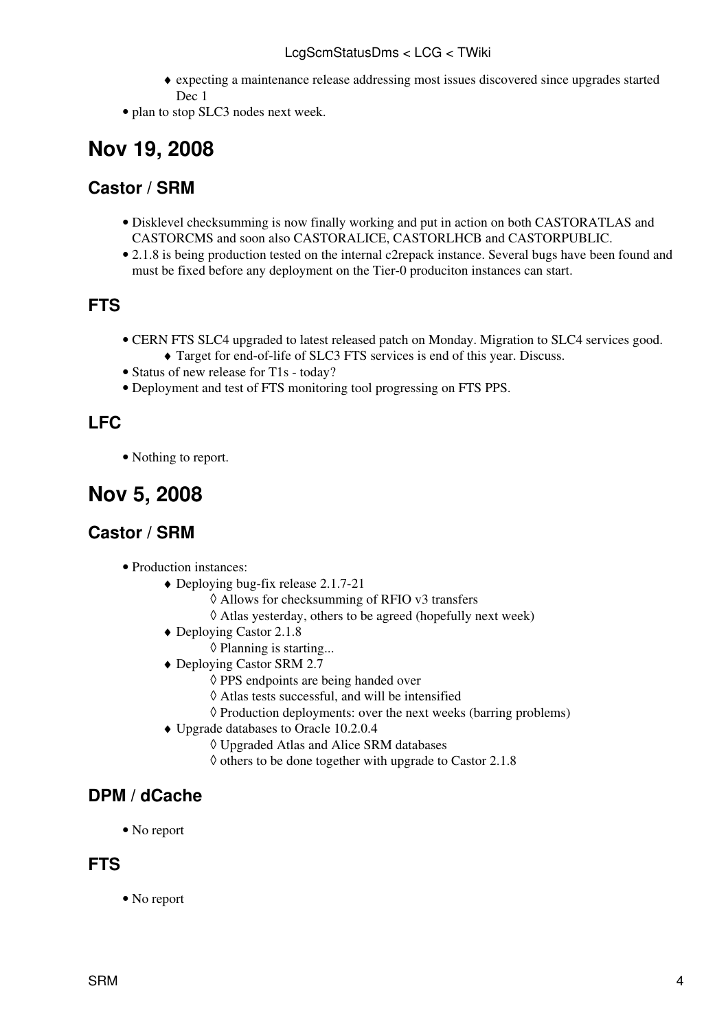#### LcgScmStatusDms < LCG < TWiki

- expecting a maintenance release addressing most issues discovered since upgrades started ♦ Dec 1
- plan to stop SLC3 nodes next week.

# <span id="page-5-0"></span>**Nov 19, 2008**

#### <span id="page-5-1"></span>**Castor / SRM**

- Disklevel checksumming is now finally working and put in action on both CASTORATLAS and CASTORCMS and soon also CASTORALICE, CASTORLHCB and CASTORPUBLIC.
- 2.1.8 is being production tested on the internal c2repack instance. Several bugs have been found and must be fixed before any deployment on the Tier-0 produciton instances can start.

#### <span id="page-5-2"></span>**FTS**

- CERN FTS SLC4 upgraded to latest released patch on Monday. Migration to SLC4 services good.
	- ♦ Target for end-of-life of SLC3 FTS services is end of this year. Discuss.
- Status of new release for T1s today?
- Deployment and test of FTS monitoring tool progressing on FTS PPS.

#### <span id="page-5-3"></span>**LFC**

• Nothing to report.

# <span id="page-5-4"></span>**Nov 5, 2008**

#### <span id="page-5-5"></span>**Castor / SRM**

- Production instances:
	- Deploying bug-fix release 2.1.7-21 ♦
		- ◊ Allows for checksumming of RFIO v3 transfers
		- ◊ Atlas yesterday, others to be agreed (hopefully next week)
	- Deploying Castor 2.1.8 ♦
		- ◊ Planning is starting...
	- Deploying Castor SRM 2.7 ♦
		- ◊ PPS endpoints are being handed over
		- ◊ Atlas tests successful, and will be intensified
		- ◊ Production deployments: over the next weeks (barring problems)
	- Upgrade databases to Oracle 10.2.0.4 ♦
		- ◊ Upgraded Atlas and Alice SRM databases
		- $\Diamond$  others to be done together with upgrade to Castor 2.1.8

#### <span id="page-5-6"></span>**DPM / dCache**

• No report

#### <span id="page-5-7"></span>**FTS**

• No report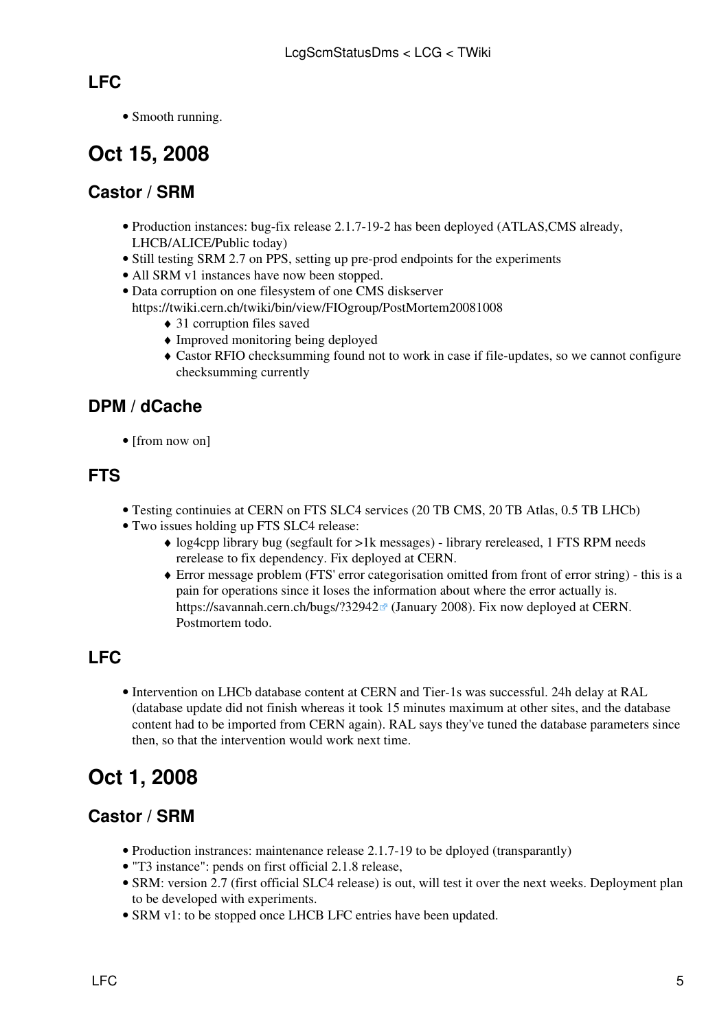### <span id="page-6-0"></span>**LFC**

• Smooth running.

# <span id="page-6-1"></span>**Oct 15, 2008**

### <span id="page-6-2"></span>**Castor / SRM**

- Production instances: bug-fix release 2.1.7-19-2 has been deployed (ATLAS,CMS already, LHCB/ALICE/Public today)
- Still testing SRM 2.7 on PPS, setting up pre-prod endpoints for the experiments
- All SRM v1 instances have now been stopped.
- Data corruption on one filesystem of one CMS diskserver
	- <https://twiki.cern.ch/twiki/bin/view/FIOgroup/PostMortem20081008>
		- ♦ 31 corruption files saved
		- ♦ Improved monitoring being deployed
		- Castor RFIO checksumming found not to work in case if file-updates, so we cannot configure ♦ checksumming currently

## <span id="page-6-3"></span>**DPM / dCache**

• [from now on]

#### <span id="page-6-4"></span>**FTS**

- Testing continuies at CERN on FTS SLC4 services (20 TB CMS, 20 TB Atlas, 0.5 TB LHCb)
- Two issues holding up FTS SLC4 release:
	- log4cpp library bug (segfault for >1k messages) library rereleased, 1 FTS RPM needs ♦ rerelease to fix dependency. Fix deployed at CERN.
	- Error message problem (FTS' error categorisation omitted from front of error string) this is a ♦ pain for operations since it loses the information about where the error actually is. https://savannah.cern.ch/bugs/?32942<sup>a</sup> (January 2008). Fix now deployed at CERN. Postmortem todo.

## <span id="page-6-5"></span>**LFC**

• Intervention on LHCb database content at CERN and Tier-1s was successful. 24h delay at [RAL](https://twiki.cern.ch/twiki/bin/view/LCG/RAL) (database update did not finish whereas it took 15 minutes maximum at other sites, and the database content had to be imported from CERN again). [RAL](https://twiki.cern.ch/twiki/bin/view/LCG/RAL) says they've tuned the database parameters since then, so that the intervention would work next time.

# <span id="page-6-6"></span>**Oct 1, 2008**

#### <span id="page-6-7"></span>**Castor / SRM**

- Production instrances: maintenance release 2.1.7-19 to be dployed (transparantly)
- "T3 instance": pends on first official 2.1.8 release,
- SRM: version 2.7 (first official SLC4 release) is out, will test it over the next weeks. Deployment plan to be developed with experiments.
- SRM v1: to be stopped once LHCB LFC entries have been updated.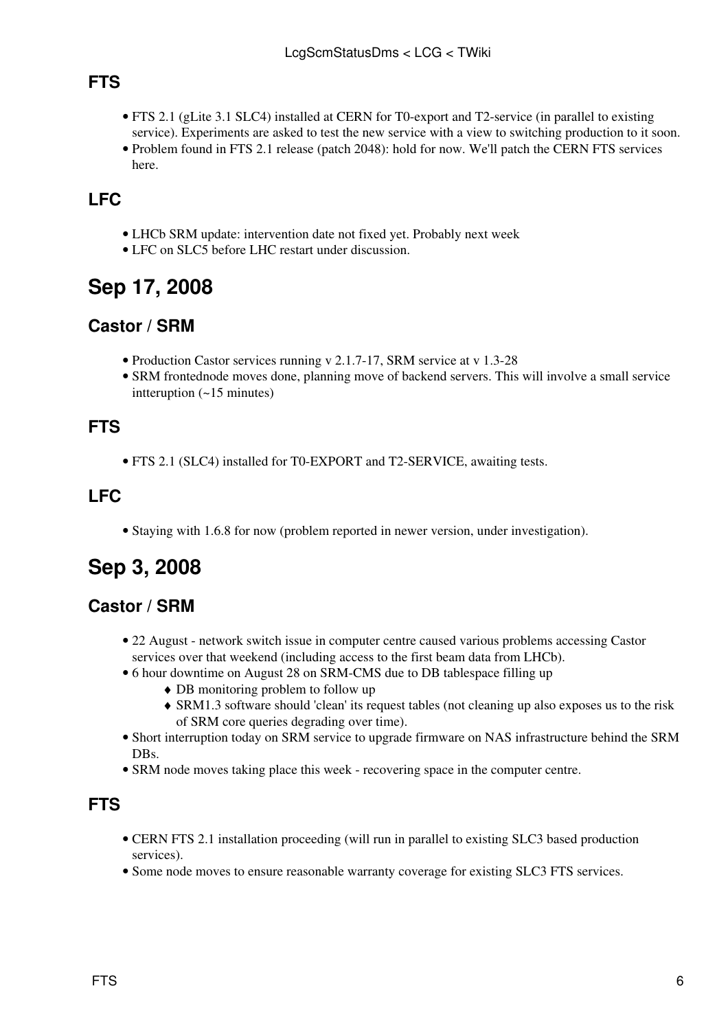### <span id="page-7-0"></span>**FTS**

- FTS 2.1 (gLite 3.1 SLC4) installed at CERN for T0-export and T2-service (in parallel to existing service). Experiments are asked to test the new service with a view to switching production to it soon.
- Problem found in FTS 2.1 release (patch 2048): hold for now. We'll patch the CERN FTS services here.

### <span id="page-7-1"></span>**LFC**

- LHCb SRM update: intervention date not fixed yet. Probably next week
- LFC on SLC5 before LHC restart under discussion.

# <span id="page-7-2"></span>**Sep 17, 2008**

#### <span id="page-7-3"></span>**Castor / SRM**

- Production Castor services running v 2.1.7-17, SRM service at v 1.3-28
- SRM frontednode moves done, planning move of backend servers. This will involve a small service intteruption (~15 minutes)

#### <span id="page-7-4"></span>**FTS**

• FTS 2.1 (SLC4) installed for T0-EXPORT and T2-SERVICE, awaiting tests.

#### <span id="page-7-5"></span>**LFC**

• Staying with 1.6.8 for now (problem reported in newer version, under investigation).

# <span id="page-7-6"></span>**Sep 3, 2008**

#### <span id="page-7-7"></span>**Castor / SRM**

- 22 August [network switch issue in computer centre caused various problems accessing Castor](https://twiki.cern.ch/twiki/bin/view/FIOgroup/NetworkPostMortemAug25) [services](https://twiki.cern.ch/twiki/bin/view/FIOgroup/NetworkPostMortemAug25) over that weekend (including access to the first beam data from LHCb).
- [6 hour downtime on August 28 on SRM-CMS](https://twiki.cern.ch/twiki/bin/view/FIOgroup/FtsPostMortemSrmAug28) due to DB tablespace filling up
	- ♦ DB monitoring problem to follow up
	- SRM1.3 software should 'clean' its request tables (not cleaning up also exposes us to the risk ♦ of SRM core queries degrading over time).
- Short interruption today on SRM service to upgrade firmware on NAS infrastructure behind the SRM DB<sub>s</sub>.
- SRM node moves taking place this week recovering space in the computer centre.

#### <span id="page-7-8"></span>**FTS**

- CERN FTS 2.1 installation proceeding (will run in parallel to existing SLC3 based production services).
- Some node moves to ensure reasonable warranty coverage for existing SLC3 FTS services.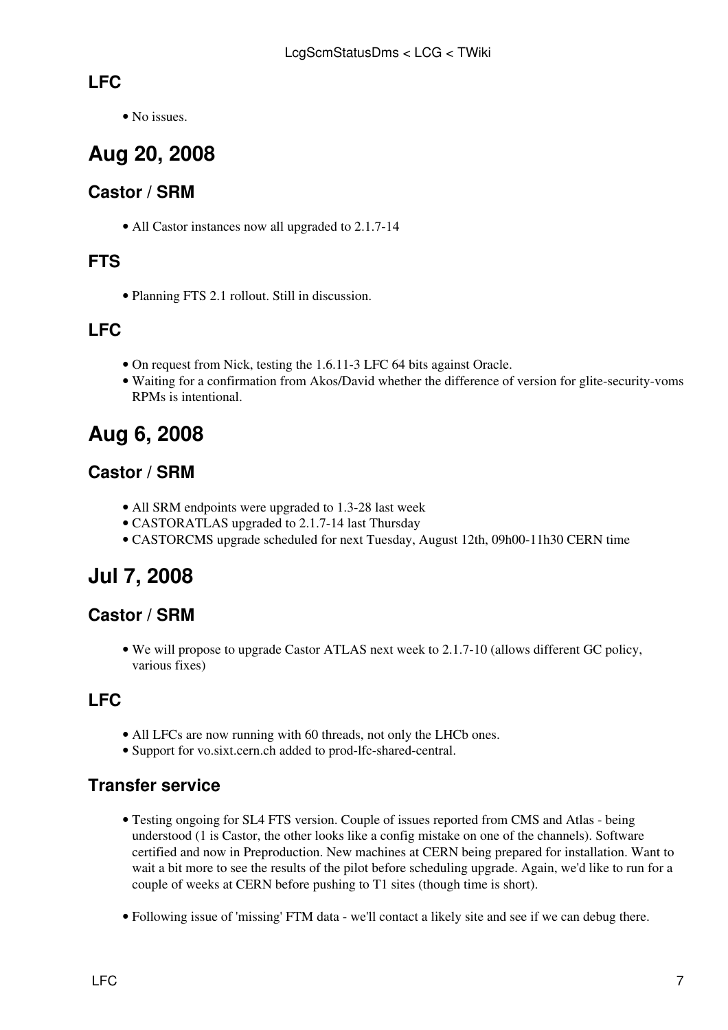### <span id="page-8-0"></span>**LFC**

• No issues.

# <span id="page-8-1"></span>**Aug 20, 2008**

## <span id="page-8-2"></span>**Castor / SRM**

• All Castor instances now all upgraded to 2.1.7-14

### <span id="page-8-3"></span>**FTS**

• Planning FTS 2.1 rollout. Still in discussion.

## <span id="page-8-4"></span>**LFC**

- On request from Nick, testing the 1.6.11-3 LFC 64 bits against Oracle.
- Waiting for a confirmation from Akos/David whether the difference of version for glite-security-voms RPMs is intentional.

# <span id="page-8-5"></span>**Aug 6, 2008**

## <span id="page-8-6"></span>**Castor / SRM**

- All SRM endpoints were upgraded to 1.3-28 last week
- CASTORATLAS upgraded to 2.1.7-14 last Thursday
- CASTORCMS upgrade scheduled for next Tuesday, August 12th, 09h00-11h30 CERN time

# <span id="page-8-7"></span>**Jul 7, 2008**

#### <span id="page-8-8"></span>**Castor / SRM**

We will propose to upgrade Castor ATLAS next week to 2.1.7-10 (allows different GC policy, • various fixes)

## <span id="page-8-9"></span>**LFC**

- All LFCs are now running with 60 threads, not only the LHCb ones.
- Support for vo.sixt.cern.ch added to prod-lfc-shared-central.

#### **Transfer service**

- Testing ongoing for SL4 FTS version. Couple of issues reported from CMS and Atlas being understood (1 is Castor, the other looks like a config mistake on one of the channels). Software certified and now in Preproduction. New machines at CERN being prepared for installation. Want to wait a bit more to see the results of the pilot before scheduling upgrade. Again, we'd like to run for a couple of weeks at CERN before pushing to T1 sites (though time is short).
- Following issue of 'missing' FTM data we'll contact a likely site and see if we can debug there.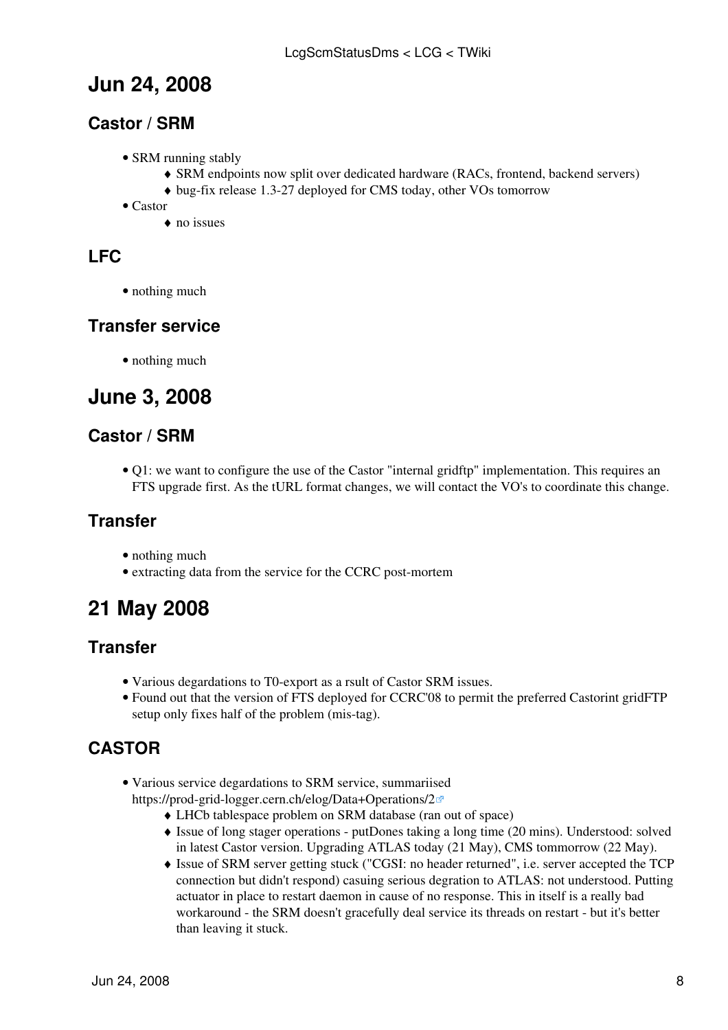# <span id="page-9-1"></span>**Jun 24, 2008**

#### <span id="page-9-2"></span>**Castor / SRM**

- SRM running stably
	- ♦ SRM endpoints now split over dedicated hardware (RACs, frontend, backend servers)
	- ♦ bug-fix release 1.3-27 deployed for CMS today, other VOs tomorrow
- Castor
	- ♦ no issues

## <span id="page-9-3"></span>**LFC**

• nothing much

#### **Transfer service**

• nothing much

# <span id="page-9-4"></span>**June 3, 2008**

#### <span id="page-9-5"></span>**Castor / SRM**

• Q1: we want to configure the use of the Castor "internal gridftp" implementation. This requires an FTS upgrade first. As the tURL format changes, we will contact the VO's to coordinate this change.

#### <span id="page-9-6"></span>**Transfer**

- nothing much
- extracting data from the service for the CCRC post-mortem

# <span id="page-9-7"></span>**21 May 2008**

#### <span id="page-9-8"></span>**Transfer**

- Various degardations to T0-export as a rsult of Castor SRM issues.
- Found out that the version of FTS deployed for CCRC'08 to permit the preferred Castorint gridFTP setup only fixes half of the problem (mis-tag).

## <span id="page-9-0"></span>**CASTOR**

- Various service degardations to SRM service, summariised <https://prod-grid-logger.cern.ch/elog/Data+Operations/2>
	- ♦ LHCb tablespace problem on SRM database (ran out of space)
	- Issue of long stager operations putDones taking a long time (20 mins). Understood: solved ♦ in latest Castor version. Upgrading ATLAS today (21 May), CMS tommorrow (22 May).
	- Issue of SRM server getting stuck ("CGSI: no header returned", i.e. server accepted the TCP ♦ connection but didn't respond) casuing serious degration to ATLAS: not understood. Putting actuator in place to restart daemon in cause of no response. This in itself is a really bad workaround - the SRM doesn't gracefully deal service its threads on restart - but it's better than leaving it stuck.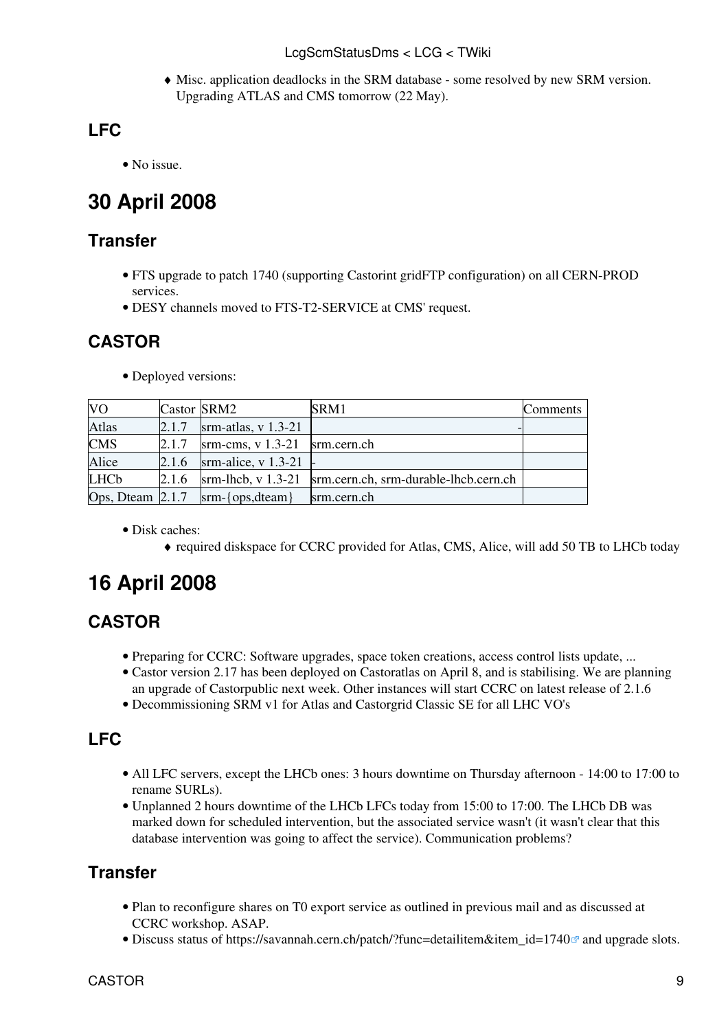Misc. application deadlocks in the SRM database - some resolved by new SRM version. ♦ Upgrading ATLAS and CMS tomorrow (22 May).

# <span id="page-10-2"></span>**LFC**

• No issue.

# <span id="page-10-3"></span>**30 April 2008**

#### <span id="page-10-4"></span>**Transfer**

- FTS upgrade to patch 1740 (supporting Castorint gridFTP configuration) on all CERN-PROD services.
- DESY channels moved to FTS-T2-SERVICE at CMS' request.

#### <span id="page-10-0"></span>**CASTOR**

• Deployed versions:

| <b>VO</b>                      | Castor SRM2 |                                               | SRM1                                                                              | Comments |
|--------------------------------|-------------|-----------------------------------------------|-----------------------------------------------------------------------------------|----------|
| <b>Atlas</b>                   | 2.1.7       | srm-atlas, $v$ 1.3-21                         |                                                                                   |          |
| <b>CMS</b>                     | 2.1.7       | $\text{srm-cms}, \text{v} 1.3-21$ srm.cern.ch |                                                                                   |          |
| Alice                          | 2.1.6       | srm-alice, v $1.3-21$ -                       |                                                                                   |          |
| <b>LHCb</b>                    | 2.1.6       |                                               | $\text{srm-lhcb}, \text{v} 1.3-21$ $\text{srm.cern.ch, srm-durable-lhcb.cern.ch}$ |          |
| Ops, Dteam $\vert 2.1.7 \vert$ |             | $srm-\{ops, dteam\}$                          | srm.cern.ch                                                                       |          |

Disk caches: •

♦ required diskspace for CCRC provided for Atlas, CMS, Alice, will add 50 TB to LHCb today

# <span id="page-10-5"></span>**16 April 2008**

## <span id="page-10-1"></span>**CASTOR**

- Preparing for CCRC: Software upgrades, space token creations, access control lists update, ...
- Castor version 2.17 has been deployed on Castoratlas on April 8, and is stabilising. We are planning an upgrade of Castorpublic next week. Other instances will start CCRC on latest release of 2.1.6
- Decommissioning SRM v1 for Atlas and Castorgrid Classic SE for all LHC VO's

## <span id="page-10-6"></span>**LFC**

- All LFC servers, except the LHCb ones: 3 hours downtime on Thursday afternoon 14:00 to 17:00 to rename SURLs).
- Unplanned 2 hours downtime of the LHCb LFCs today from 15:00 to 17:00. The LHCb DB was marked down for scheduled intervention, but the associated service wasn't (it wasn't clear that this database intervention was going to affect the service). Communication problems?

## <span id="page-10-7"></span>**Transfer**

- Plan to reconfigure shares on T0 export service as outlined in previous mail and as discussed at CCRC workshop. ASAP.
- Discuss status of [https://savannah.cern.ch/patch/?func=detailitem&item\\_id=1740](https://savannah.cern.ch/patch/?func=detailitem&item_id=1740) $\textdegree$  and upgrade slots.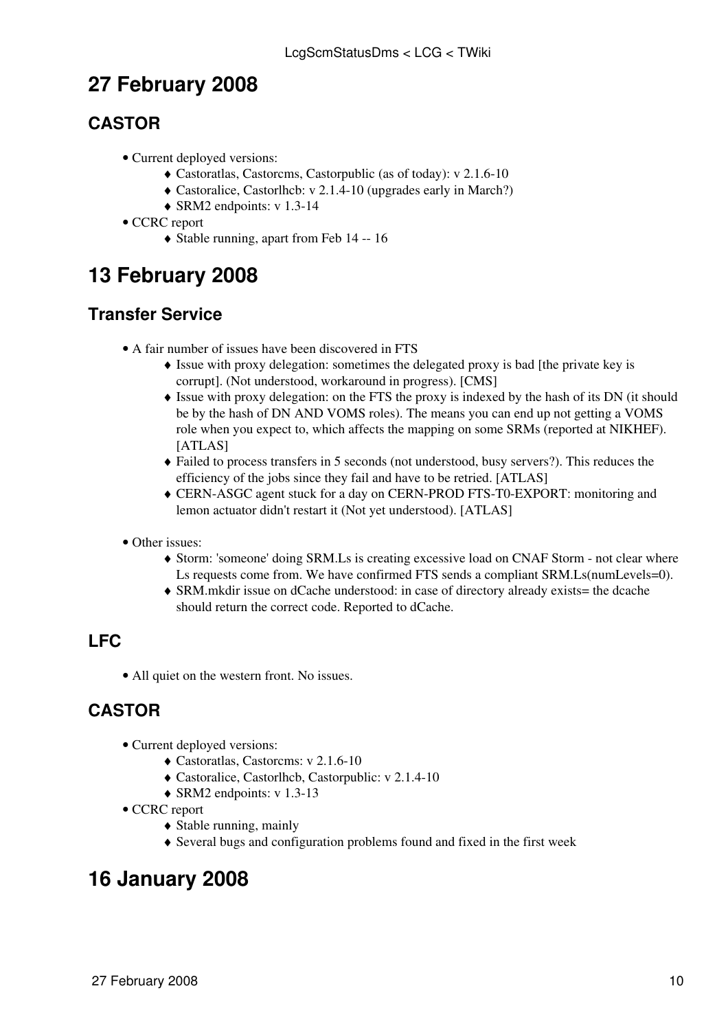# <span id="page-11-3"></span>**27 February 2008**

## <span id="page-11-0"></span>**CASTOR**

- Current deployed versions:
	- ♦ Castoratlas, Castorcms, Castorpublic (as of today): v 2.1.6-10
	- ♦ Castoralice, Castorlhcb: v 2.1.4-10 (upgrades early in March?)
	- $\triangleleft$  SRM2 endpoints: v 1.3-14
- CCRC report
	- ♦ Stable running, apart from [Feb 14 -- 16](https://twiki.cern.ch/twiki/bin/view/FIOgroup/PostMortemFeb14)

# <span id="page-11-4"></span>**13 February 2008**

### <span id="page-11-2"></span>**Transfer Service**

- A fair number of issues have been discovered in FTS
	- Issue with proxy delegation: sometimes the delegated proxy is bad [the private key is ♦ corrupt]. (Not understood, workaround in progress). [CMS]
	- Issue with proxy delegation: on the FTS the proxy is indexed by the hash of its DN (it should ♦ be by the hash of DN AND [VOMS](https://twiki.cern.ch/twiki/bin/view/LCG/VOMS) roles). The means you can end up not getting a [VOMS](https://twiki.cern.ch/twiki/bin/view/LCG/VOMS) role when you expect to, which affects the mapping on some SRMs (reported at NIKHEF). [ATLAS]
	- Failed to process transfers in 5 seconds (not understood, busy servers?). This reduces the ♦ efficiency of the jobs since they fail and have to be retried. [ATLAS]
	- CERN-ASGC agent stuck for a day on CERN-PROD FTS-T0-EXPORT: monitoring and ♦ lemon actuator didn't restart it (Not yet understood). [ATLAS]
- Other issues:
	- Storm: 'someone' doing SRM.Ls is creating excessive load on CNAF Storm not clear where ♦ Ls requests come from. We have confirmed FTS sends a compliant SRM.Ls(numLevels=0).
	- SRM.mkdir issue on dCache understood: in case of directory already exists= the dcache ♦ should return the correct code. Reported to dCache.

## <span id="page-11-5"></span>**LFC**

• All quiet on the western front. No issues.

## <span id="page-11-1"></span>**CASTOR**

- Current deployed versions:
	- ♦ Castoratlas, Castorcms: v 2.1.6-10
	- ♦ Castoralice, Castorlhcb, Castorpublic: v 2.1.4-10
	- ♦ SRM2 endpoints: v 1.3-13
- CCRC report
	- $\triangle$  Stable running, mainly
	- ♦ Several bugs and configuration problems found and fixed in the first week

# <span id="page-11-6"></span>**16 January 2008**